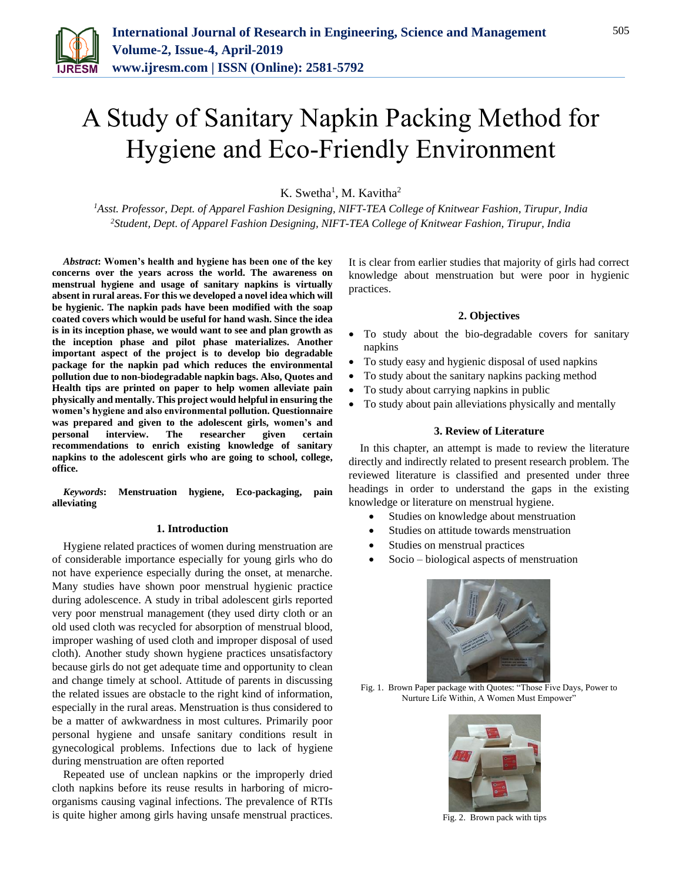

# A Study of Sanitary Napkin Packing Method for Hygiene and Eco-Friendly Environment

K. Swetha<sup>1</sup>, M. Kavitha<sup>2</sup>

*<sup>1</sup>Asst. Professor, Dept. of Apparel Fashion Designing, NIFT-TEA College of Knitwear Fashion, Tirupur, India 2Student, Dept. of Apparel Fashion Designing, NIFT-TEA College of Knitwear Fashion, Tirupur, India*

*Abstract***: Women's health and hygiene has been one of the key concerns over the years across the world. The awareness on menstrual hygiene and usage of sanitary napkins is virtually absent in rural areas. For this we developed a novel idea which will be hygienic. The napkin pads have been modified with the soap coated covers which would be useful for hand wash. Since the idea is in its inception phase, we would want to see and plan growth as the inception phase and pilot phase materializes. Another important aspect of the project is to develop bio degradable package for the napkin pad which reduces the environmental pollution due to non-biodegradable napkin bags. Also, Quotes and Health tips are printed on paper to help women alleviate pain physically and mentally. This project would helpful in ensuring the women's hygiene and also environmental pollution. Questionnaire was prepared and given to the adolescent girls, women's and personal interview. The researcher given certain recommendations to enrich existing knowledge of sanitary napkins to the adolescent girls who are going to school, college, office.**

*Keywords***: Menstruation hygiene, Eco-packaging, pain alleviating**

#### **1. Introduction**

Hygiene related practices of women during menstruation are of considerable importance especially for young girls who do not have experience especially during the onset, at menarche. Many studies have shown poor menstrual hygienic practice during adolescence. A study in tribal adolescent girls reported very poor menstrual management (they used dirty cloth or an old used cloth was recycled for absorption of menstrual blood, improper washing of used cloth and improper disposal of used cloth). Another study shown hygiene practices unsatisfactory because girls do not get adequate time and opportunity to clean and change timely at school. Attitude of parents in discussing the related issues are obstacle to the right kind of information, especially in the rural areas. Menstruation is thus considered to be a matter of awkwardness in most cultures. Primarily poor personal hygiene and unsafe sanitary conditions result in gynecological problems. Infections due to lack of hygiene during menstruation are often reported

Repeated use of unclean napkins or the improperly dried cloth napkins before its reuse results in harboring of microorganisms causing vaginal infections. The prevalence of RTIs is quite higher among girls having unsafe menstrual practices. It is clear from earlier studies that majority of girls had correct knowledge about menstruation but were poor in hygienic practices.

### **2. Objectives**

- To study about the bio-degradable covers for sanitary napkins
- To study easy and hygienic disposal of used napkins
- To study about the sanitary napkins packing method
- To study about carrying napkins in public
- To study about pain alleviations physically and mentally

## **3. Review of Literature**

In this chapter, an attempt is made to review the literature directly and indirectly related to present research problem. The reviewed literature is classified and presented under three headings in order to understand the gaps in the existing knowledge or literature on menstrual hygiene.

- Studies on knowledge about menstruation
- Studies on attitude towards menstruation
- Studies on menstrual practices
- Socio biological aspects of menstruation



Fig. 1. Brown Paper package with Quotes: "Those Five Days, Power to Nurture Life Within, A Women Must Empower"



Fig. 2. Brown pack with tips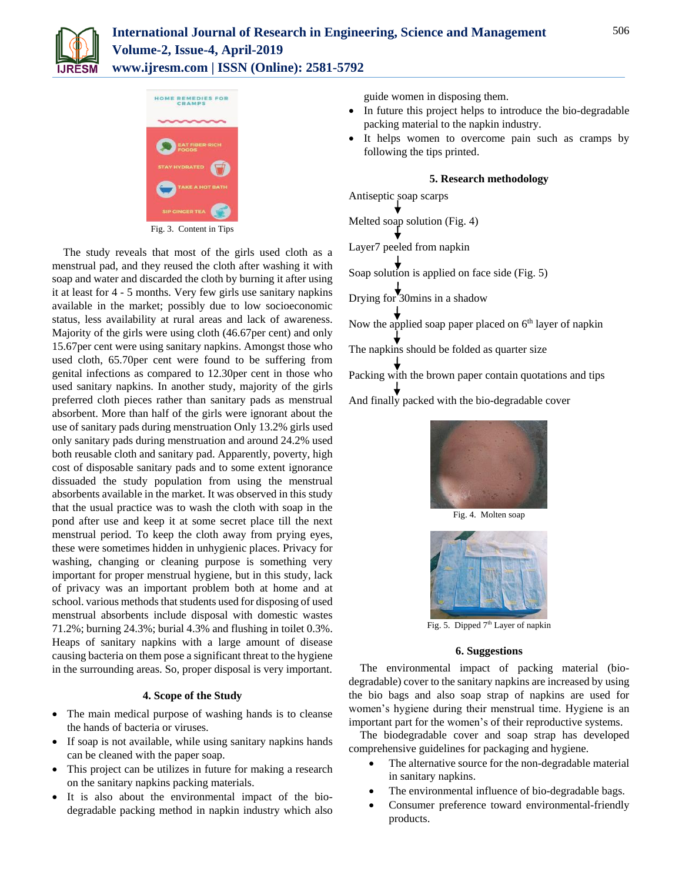

# **International Journal of Research in Engineering, Science and Management Volume-2, Issue-4, April-2019 www.ijresm.com | ISSN (Online): 2581-5792**



Fig. 3. Content in Tips

The study reveals that most of the girls used cloth as a menstrual pad, and they reused the cloth after washing it with soap and water and discarded the cloth by burning it after using it at least for 4 - 5 months. Very few girls use sanitary napkins available in the market; possibly due to low socioeconomic status, less availability at rural areas and lack of awareness. Majority of the girls were using cloth (46.67per cent) and only 15.67per cent were using sanitary napkins. Amongst those who used cloth, 65.70per cent were found to be suffering from genital infections as compared to 12.30per cent in those who used sanitary napkins. In another study, majority of the girls preferred cloth pieces rather than sanitary pads as menstrual absorbent. More than half of the girls were ignorant about the use of sanitary pads during menstruation Only 13.2% girls used only sanitary pads during menstruation and around 24.2% used both reusable cloth and sanitary pad. Apparently, poverty, high cost of disposable sanitary pads and to some extent ignorance dissuaded the study population from using the menstrual absorbents available in the market. It was observed in this study that the usual practice was to wash the cloth with soap in the pond after use and keep it at some secret place till the next menstrual period. To keep the cloth away from prying eyes, these were sometimes hidden in unhygienic places. Privacy for washing, changing or cleaning purpose is something very important for proper menstrual hygiene, but in this study, lack of privacy was an important problem both at home and at school. various methods that students used for disposing of used menstrual absorbents include disposal with domestic wastes 71.2%; burning 24.3%; burial 4.3% and flushing in toilet 0.3%. Heaps of sanitary napkins with a large amount of disease causing bacteria on them pose a significant threat to the hygiene in the surrounding areas. So, proper disposal is very important.

# **4. Scope of the Study**

- The main medical purpose of washing hands is to cleanse the hands of bacteria or viruses.
- If soap is not available, while using sanitary napkins hands can be cleaned with the paper soap.
- This project can be utilizes in future for making a research on the sanitary napkins packing materials.
- It is also about the environmental impact of the biodegradable packing method in napkin industry which also

guide women in disposing them.

- In future this project helps to introduce the bio-degradable packing material to the napkin industry.
- It helps women to overcome pain such as cramps by following the tips printed.

## **5. Research methodology**

Antiseptic soap scarps Melted soap solution (Fig. 4) Layer7 peeled from napkin Soap solution is applied on face side (Fig. 5) Drying for 30mins in a shadow Now the applied soap paper placed on  $6<sup>th</sup>$  layer of napkin The napkins should be folded as quarter size Packing with the brown paper contain quotations and tips

And finally packed with the bio-degradable cover



Fig. 4. Molten soap



Fig. 5. Dipped 7<sup>th</sup> Layer of napkin

#### **6. Suggestions**

The environmental impact of packing material (biodegradable) cover to the sanitary napkins are increased by using the bio bags and also soap strap of napkins are used for women's hygiene during their menstrual time. Hygiene is an important part for the women's of their reproductive systems.

The biodegradable cover and soap strap has developed comprehensive guidelines for packaging and hygiene.

- The alternative source for the non-degradable material in sanitary napkins.
- The environmental influence of bio-degradable bags.
- Consumer preference toward environmental-friendly products.